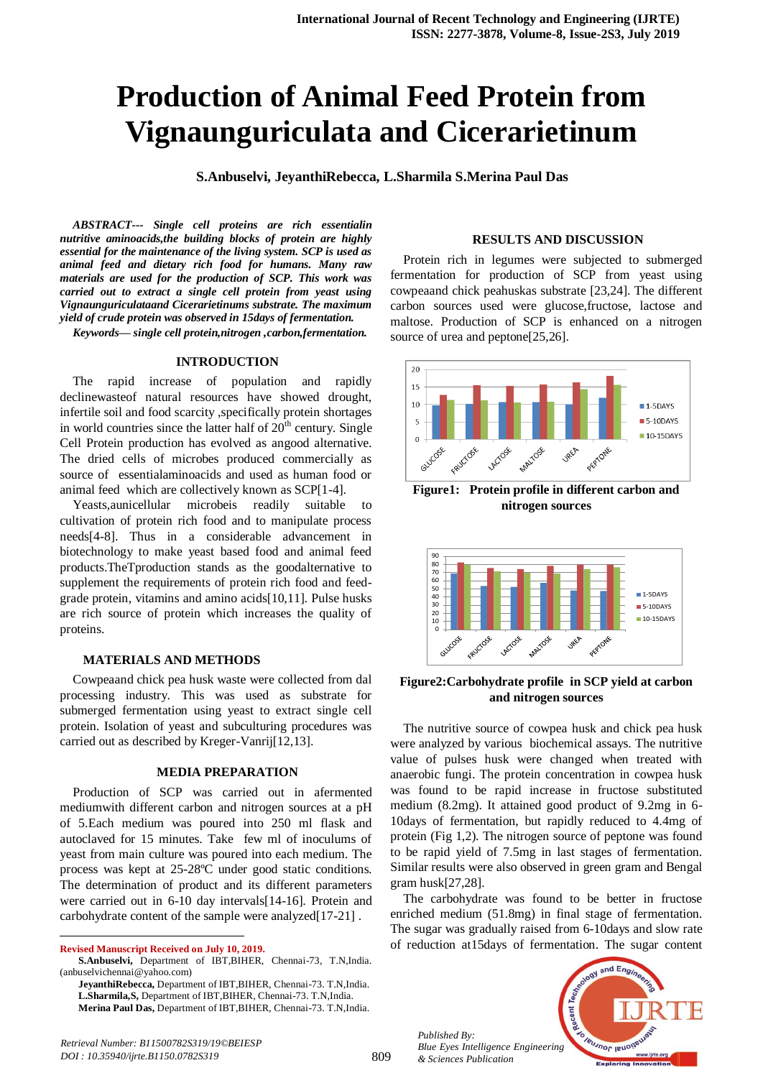# **Production of Animal Feed Protein from Vignaunguriculata and Cicerarietinum**

**S.Anbuselvi, JeyanthiRebecca, L.Sharmila S.Merina Paul Das**

*ABSTRACT--- Single cell proteins are rich essentialin nutritive aminoacids,the building blocks of protein are highly essential for the maintenance of the living system. SCP is used as animal feed and dietary rich food for humans. Many raw materials are used for the production of SCP. This work was carried out to extract a single cell protein from yeast using Vignaunguriculataand Cicerarietinums substrate. The maximum yield of crude protein was observed in 15days of fermentation.*

*Keywords— single cell protein,nitrogen ,carbon,fermentation.*

#### **INTRODUCTION**

The rapid increase of population and rapidly declinewasteof natural resources have showed drought, infertile soil and food scarcity ,specifically protein shortages in world countries since the latter half of  $20<sup>th</sup>$  century. Single Cell Protein production has evolved as angood alternative. The dried cells of microbes produced commercially as source of essentialaminoacids and used as human food or animal feed which are collectively known as SCP[1-4].

Yeasts,aunicellular microbeis readily suitable to cultivation of protein rich food and to manipulate process needs[4-8]. Thus in a considerable advancement in biotechnology to make yeast based food and animal feed products.TheTproduction stands as the goodalternative to supplement the requirements of protein rich food and feedgrade protein, vitamins and amino acids[10,11]. Pulse husks are rich source of protein which increases the quality of proteins.

## **MATERIALS AND METHODS**

Cowpeaand chick pea husk waste were collected from dal processing industry. This was used as substrate for submerged fermentation using yeast to extract single cell protein. Isolation of yeast and subculturing procedures was carried out as described by Kreger-Vanrij[12,13].

### **MEDIA PREPARATION**

Production of SCP was carried out in afermented mediumwith different carbon and nitrogen sources at a pH of 5.Each medium was poured into 250 ml flask and autoclaved for 15 minutes. Take few ml of inoculums of yeast from main culture was poured into each medium. The process was kept at 25-28ºC under good static conditions. The determination of product and its different parameters were carried out in 6-10 day intervals[14-16]. Protein and carbohydrate content of the sample were analyzed[17-21] .

**Revised Manuscript Received on July 10, 2019.**

 $\overline{a}$ 

#### **RESULTS AND DISCUSSION**

Protein rich in legumes were subjected to submerged fermentation for production of SCP from yeast using cowpeaand chick peahuskas substrate [23,24]. The different carbon sources used were glucose,fructose, lactose and maltose. Production of SCP is enhanced on a nitrogen source of urea and peptone[25,26].



**Figure1: Protein profile in different carbon and nitrogen sources**



# **Figure2:Carbohydrate profile in SCP yield at carbon and nitrogen sources**

The nutritive source of cowpea husk and chick pea husk were analyzed by various biochemical assays. The nutritive value of pulses husk were changed when treated with anaerobic fungi. The protein concentration in cowpea husk was found to be rapid increase in fructose substituted medium (8.2mg). It attained good product of 9.2mg in 6- 10days of fermentation, but rapidly reduced to 4.4mg of protein (Fig 1,2). The nitrogen source of peptone was found to be rapid yield of 7.5mg in last stages of fermentation. Similar results were also observed in green gram and Bengal gram husk[27,28].

The carbohydrate was found to be better in fructose enriched medium (51.8mg) in final stage of fermentation. The sugar was gradually raised from 6-10days and slow rate of reduction at15days of fermentation. The sugar content

*Published By: Blue Eyes Intelligence Engineering & Sciences Publication* 



**S.Anbuselvi,** Department of IBT,BIHER, Chennai-73, T.N,India. (anbuselvichennai@yahoo.com)

**JeyanthiRebecca,** Department of IBT,BIHER, Chennai-73. T.N,India. **L.Sharmila,S,** Department of IBT,BIHER, Chennai-73. T.N,India. **Merina Paul Das,** Department of IBT,BIHER, Chennai-73. T.N,India.